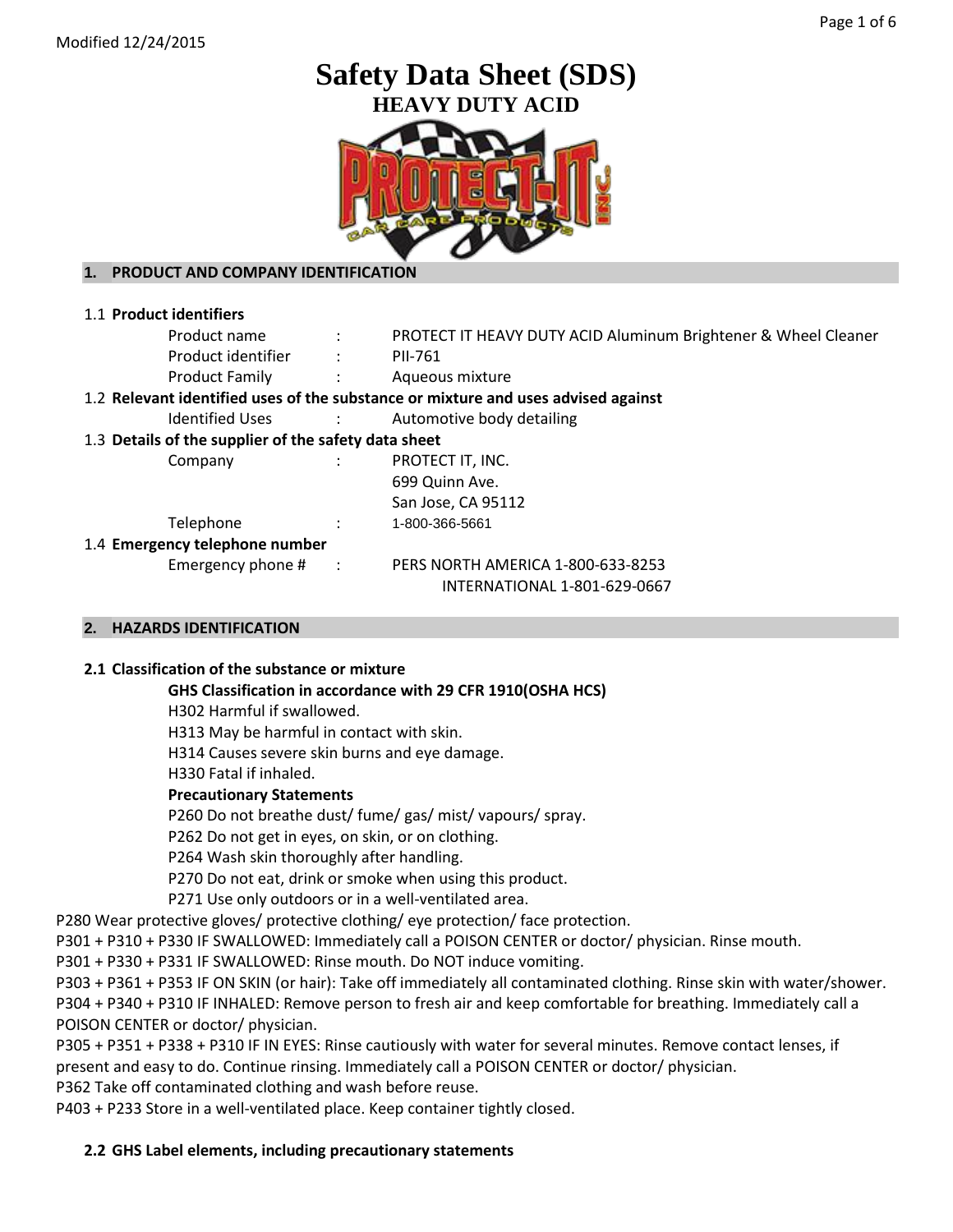# **Safety Data Sheet (SDS) HEAVY DUTY ACID**



# **1. PRODUCT AND COMPANY IDENTIFICATION**

| $\sim 1000$                                          | PROTECT IT HEAVY DUTY ACID Aluminum Brightener & Wheel Cleaner                                                                               |  |
|------------------------------------------------------|----------------------------------------------------------------------------------------------------------------------------------------------|--|
| $\ddot{\phantom{a}}$                                 | PII-761                                                                                                                                      |  |
| $\sim$ 100 $\pm$                                     | Aqueous mixture                                                                                                                              |  |
|                                                      | 1.2 Relevant identified uses of the substance or mixture and uses advised against                                                            |  |
| $\sim 10$                                            | Automotive body detailing                                                                                                                    |  |
| 1.3 Details of the supplier of the safety data sheet |                                                                                                                                              |  |
|                                                      | PROTECT IT, INC.                                                                                                                             |  |
|                                                      | 699 Quinn Ave.                                                                                                                               |  |
|                                                      | San Jose, CA 95112                                                                                                                           |  |
|                                                      | 1-800-366-5661                                                                                                                               |  |
|                                                      |                                                                                                                                              |  |
| $\sim$ $\sim$ $\sim$                                 | PERS NORTH AMERICA 1-800-633-8253                                                                                                            |  |
|                                                      | INTERNATIONAL 1-801-629-0667                                                                                                                 |  |
|                                                      | Product name<br>Product identifier<br><b>Product Family</b><br><b>Identified Uses</b><br>1.4 Emergency telephone number<br>Emergency phone # |  |

# **2. HAZARDS IDENTIFICATION**

## **2.1 Classification of the substance or mixture**

## **GHS Classification in accordance with 29 CFR 1910(OSHA HCS)**

H302 Harmful if swallowed.

H313 May be harmful in contact with skin.

H314 Causes severe skin burns and eye damage.

H330 Fatal if inhaled.

## **Precautionary Statements**

P260 Do not breathe dust/ fume/ gas/ mist/ vapours/ spray.

P262 Do not get in eyes, on skin, or on clothing.

P264 Wash skin thoroughly after handling.

P270 Do not eat, drink or smoke when using this product.

P271 Use only outdoors or in a well-ventilated area.

P280 Wear protective gloves/ protective clothing/ eye protection/ face protection.

P301 + P310 + P330 IF SWALLOWED: Immediately call a POISON CENTER or doctor/ physician. Rinse mouth.

P301 + P330 + P331 IF SWALLOWED: Rinse mouth. Do NOT induce vomiting.

P303 + P361 + P353 IF ON SKIN (or hair): Take off immediately all contaminated clothing. Rinse skin with water/shower. P304 + P340 + P310 IF INHALED: Remove person to fresh air and keep comfortable for breathing. Immediately call a POISON CENTER or doctor/ physician.

P305 + P351 + P338 + P310 IF IN EYES: Rinse cautiously with water for several minutes. Remove contact lenses, if present and easy to do. Continue rinsing. Immediately call a POISON CENTER or doctor/ physician.

P362 Take off contaminated clothing and wash before reuse.

P403 + P233 Store in a well-ventilated place. Keep container tightly closed.

# **2.2 GHS Label elements, including precautionary statements**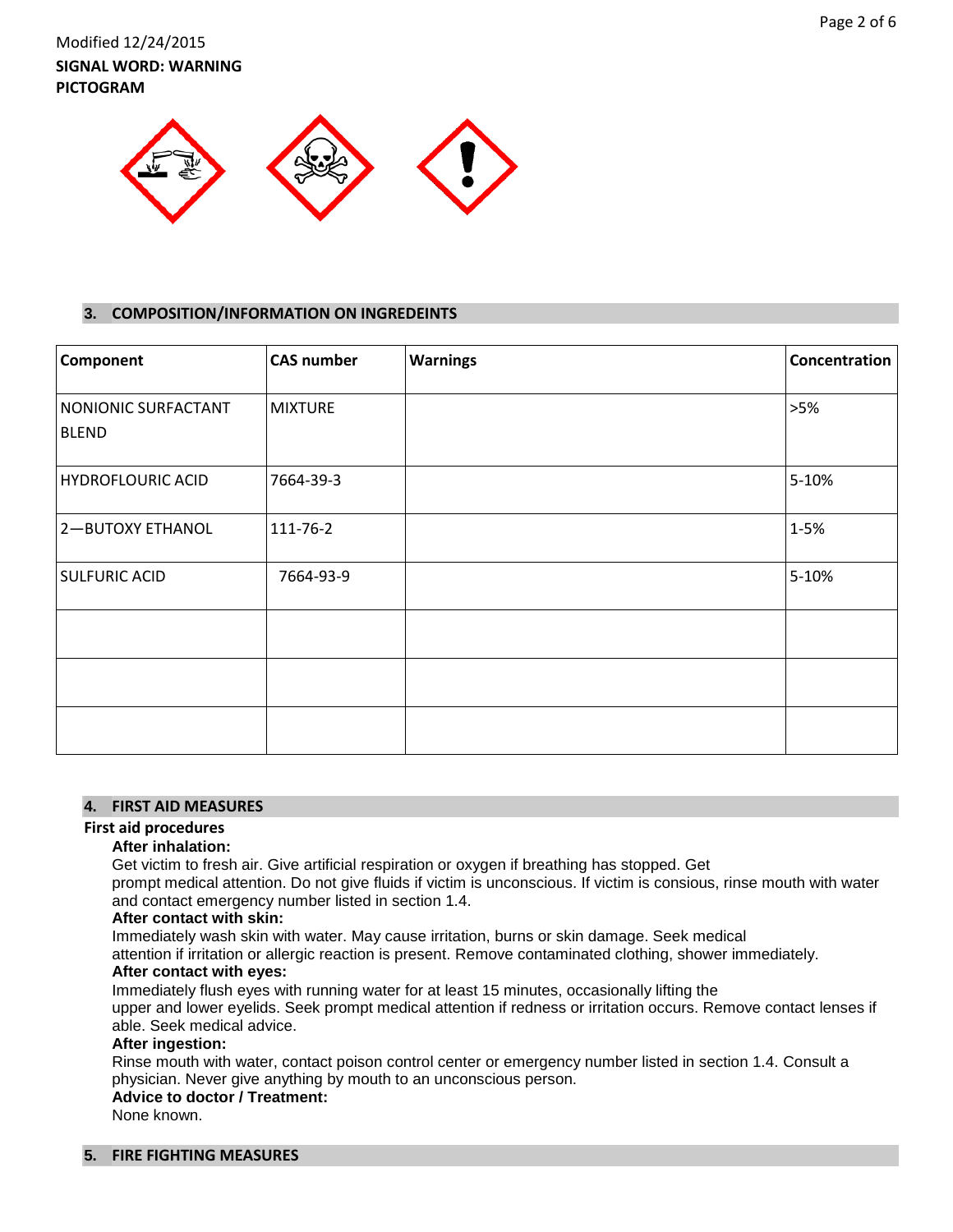Modified 12/24/2015 **SIGNAL WORD: WARNING PICTOGRAM**



### **3. COMPOSITION/INFORMATION ON INGREDEINTS**

| Component                           | <b>CAS number</b> | <b>Warnings</b> | Concentration |
|-------------------------------------|-------------------|-----------------|---------------|
| NONIONIC SURFACTANT<br><b>BLEND</b> | <b>MIXTURE</b>    |                 | >5%           |
| <b>HYDROFLOURIC ACID</b>            | 7664-39-3         |                 | 5-10%         |
| <b>2-BUTOXY ETHANOL</b>             | 111-76-2          |                 | $1 - 5%$      |
| SULFURIC ACID                       | 7664-93-9         |                 | 5-10%         |
|                                     |                   |                 |               |
|                                     |                   |                 |               |
|                                     |                   |                 |               |

#### **4. FIRST AID MEASURES**

## **First aid procedures**

#### **After inhalation:**

Get victim to fresh air. Give artificial respiration or oxygen if breathing has stopped. Get

prompt medical attention. Do not give fluids if victim is unconscious. If victim is consious, rinse mouth with water and contact emergency number listed in section 1.4.

#### **After contact with skin:**

Immediately wash skin with water. May cause irritation, burns or skin damage. Seek medical

attention if irritation or allergic reaction is present. Remove contaminated clothing, shower immediately.

#### **After contact with eyes:**

Immediately flush eyes with running water for at least 15 minutes, occasionally lifting the

upper and lower eyelids. Seek prompt medical attention if redness or irritation occurs. Remove contact lenses if able. Seek medical advice.

## **After ingestion:**

Rinse mouth with water, contact poison control center or emergency number listed in section 1.4. Consult a physician. Never give anything by mouth to an unconscious person.

#### **Advice to doctor / Treatment:**

None known.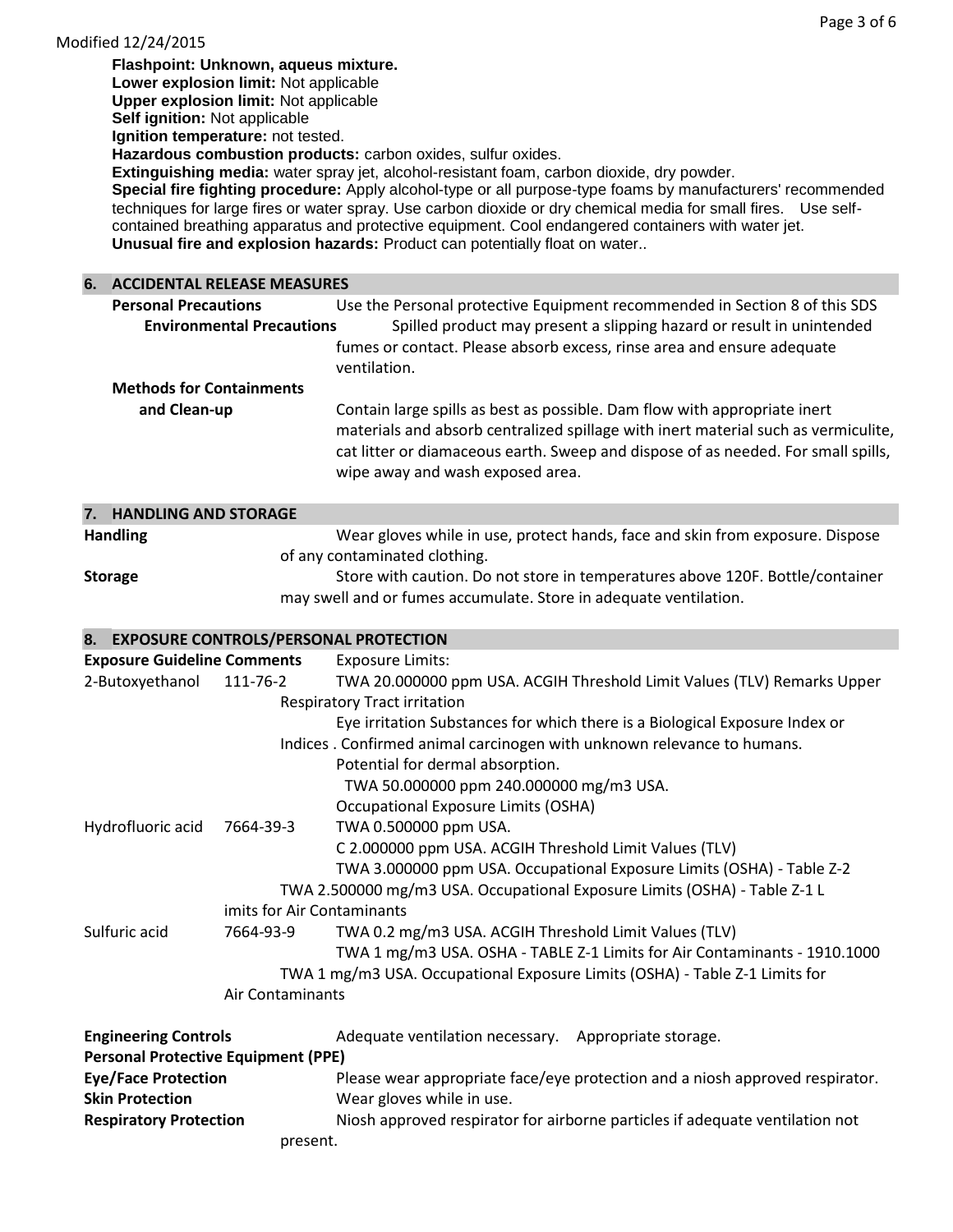| Modified 12/24/2015                        |                                              |                                                                                                                                                                                                          |
|--------------------------------------------|----------------------------------------------|----------------------------------------------------------------------------------------------------------------------------------------------------------------------------------------------------------|
|                                            | Flashpoint: Unknown, aqueus mixture.         |                                                                                                                                                                                                          |
|                                            | Lower explosion limit: Not applicable        |                                                                                                                                                                                                          |
|                                            | <b>Upper explosion limit: Not applicable</b> |                                                                                                                                                                                                          |
|                                            | Self ignition: Not applicable                |                                                                                                                                                                                                          |
|                                            | Ignition temperature: not tested.            |                                                                                                                                                                                                          |
|                                            |                                              | Hazardous combustion products: carbon oxides, sulfur oxides.                                                                                                                                             |
|                                            |                                              | Extinguishing media: water spray jet, alcohol-resistant foam, carbon dioxide, dry powder.<br>Special fire fighting procedure: Apply alcohol-type or all purpose-type foams by manufacturers' recommended |
|                                            |                                              | techniques for large fires or water spray. Use carbon dioxide or dry chemical media for small fires.  Use self-                                                                                          |
|                                            |                                              | contained breathing apparatus and protective equipment. Cool endangered containers with water jet.                                                                                                       |
|                                            |                                              | Unusual fire and explosion hazards: Product can potentially float on water                                                                                                                               |
|                                            |                                              |                                                                                                                                                                                                          |
| <b>6. ACCIDENTAL RELEASE MEASURES</b>      |                                              |                                                                                                                                                                                                          |
| <b>Personal Precautions</b>                |                                              | Use the Personal protective Equipment recommended in Section 8 of this SDS                                                                                                                               |
|                                            | <b>Environmental Precautions</b>             | Spilled product may present a slipping hazard or result in unintended                                                                                                                                    |
|                                            |                                              | fumes or contact. Please absorb excess, rinse area and ensure adequate                                                                                                                                   |
|                                            |                                              | ventilation.                                                                                                                                                                                             |
|                                            |                                              |                                                                                                                                                                                                          |
| <b>Methods for Containments</b>            |                                              |                                                                                                                                                                                                          |
| and Clean-up                               |                                              | Contain large spills as best as possible. Dam flow with appropriate inert                                                                                                                                |
|                                            |                                              | materials and absorb centralized spillage with inert material such as vermiculite,                                                                                                                       |
|                                            |                                              | cat litter or diamaceous earth. Sweep and dispose of as needed. For small spills,                                                                                                                        |
|                                            |                                              | wipe away and wash exposed area.                                                                                                                                                                         |
|                                            |                                              |                                                                                                                                                                                                          |
| 7. HANDLING AND STORAGE                    |                                              |                                                                                                                                                                                                          |
| <b>Handling</b>                            |                                              | Wear gloves while in use, protect hands, face and skin from exposure. Dispose                                                                                                                            |
|                                            |                                              | of any contaminated clothing.                                                                                                                                                                            |
| <b>Storage</b>                             |                                              | Store with caution. Do not store in temperatures above 120F. Bottle/container                                                                                                                            |
|                                            |                                              | may swell and or fumes accumulate. Store in adequate ventilation.                                                                                                                                        |
|                                            |                                              |                                                                                                                                                                                                          |
|                                            |                                              | 8. EXPOSURE CONTROLS/PERSONAL PROTECTION                                                                                                                                                                 |
| <b>Exposure Guideline Comments</b>         |                                              | <b>Exposure Limits:</b>                                                                                                                                                                                  |
| 2-Butoxyethanol                            | 111-76-2                                     | TWA 20.000000 ppm USA. ACGIH Threshold Limit Values (TLV) Remarks Upper                                                                                                                                  |
|                                            |                                              | <b>Respiratory Tract irritation</b>                                                                                                                                                                      |
|                                            |                                              | Eye irritation Substances for which there is a Biological Exposure Index or                                                                                                                              |
|                                            |                                              | Indices. Confirmed animal carcinogen with unknown relevance to humans.                                                                                                                                   |
|                                            |                                              | Potential for dermal absorption.                                                                                                                                                                         |
|                                            |                                              | TWA 50.000000 ppm 240.000000 mg/m3 USA.                                                                                                                                                                  |
|                                            |                                              | Occupational Exposure Limits (OSHA)                                                                                                                                                                      |
| Hydrofluoric acid                          | 7664-39-3                                    | TWA 0.500000 ppm USA.                                                                                                                                                                                    |
|                                            |                                              |                                                                                                                                                                                                          |
|                                            |                                              | C 2.000000 ppm USA. ACGIH Threshold Limit Values (TLV)                                                                                                                                                   |
|                                            |                                              | TWA 3.000000 ppm USA. Occupational Exposure Limits (OSHA) - Table Z-2                                                                                                                                    |
|                                            |                                              | TWA 2.500000 mg/m3 USA. Occupational Exposure Limits (OSHA) - Table Z-1 L                                                                                                                                |
|                                            | imits for Air Contaminants                   |                                                                                                                                                                                                          |
| Sulfuric acid                              | 7664-93-9                                    | TWA 0.2 mg/m3 USA. ACGIH Threshold Limit Values (TLV)                                                                                                                                                    |
|                                            |                                              | TWA 1 mg/m3 USA. OSHA - TABLE Z-1 Limits for Air Contaminants - 1910.1000                                                                                                                                |
|                                            |                                              | TWA 1 mg/m3 USA. Occupational Exposure Limits (OSHA) - Table Z-1 Limits for                                                                                                                              |
|                                            | Air Contaminants                             |                                                                                                                                                                                                          |
|                                            |                                              |                                                                                                                                                                                                          |
| <b>Engineering Controls</b>                |                                              | Adequate ventilation necessary. Appropriate storage.                                                                                                                                                     |
| <b>Personal Protective Equipment (PPE)</b> |                                              |                                                                                                                                                                                                          |
| <b>Eye/Face Protection</b>                 |                                              | Please wear appropriate face/eye protection and a niosh approved respirator.                                                                                                                             |
| <b>Skin Protection</b>                     |                                              | Wear gloves while in use.                                                                                                                                                                                |
| <b>Respiratory Protection</b>              |                                              | Niosh approved respirator for airborne particles if adequate ventilation not                                                                                                                             |
|                                            |                                              |                                                                                                                                                                                                          |
|                                            | present.                                     |                                                                                                                                                                                                          |

Page 3 of 6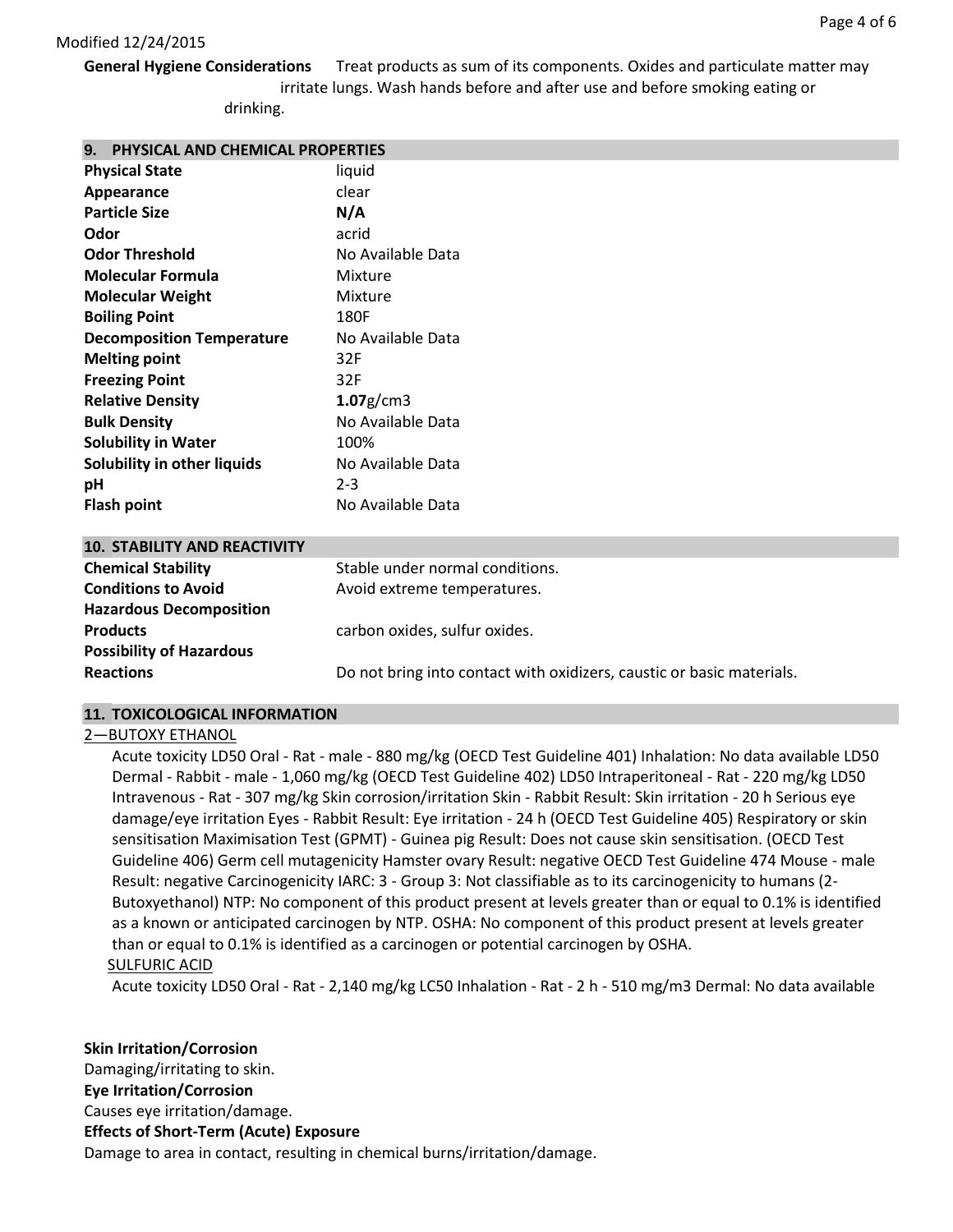**General Hygiene Considerations** Treat products as sum of its components. Oxides and particulate matter may irritate lungs. Wash hands before and after use and before smoking eating or

drinking.

| 9. PHYSICAL AND CHEMICAL PROPERTIES |
|-------------------------------------|
|-------------------------------------|

| <b>Physical State</b>            | liquid            |
|----------------------------------|-------------------|
| Appearance                       | clear             |
| <b>Particle Size</b>             | N/A               |
| Odor                             | acrid             |
| <b>Odor Threshold</b>            | No Available Data |
| <b>Molecular Formula</b>         | Mixture           |
| <b>Molecular Weight</b>          | Mixture           |
| <b>Boiling Point</b>             | 180F              |
| <b>Decomposition Temperature</b> | No Available Data |
| <b>Melting point</b>             | 32F               |
| <b>Freezing Point</b>            | 32F               |
| <b>Relative Density</b>          | $1.07$ g/cm3      |
| <b>Bulk Density</b>              | No Available Data |
| <b>Solubility in Water</b>       | 100%              |
| Solubility in other liquids      | No Available Data |
| рH                               | $2 - 3$           |
| Flash point                      | No Available Data |
|                                  |                   |

## **10. STABILITY AND REACTIVITY**

| <b>Chemical Stability</b>       | Stable under normal conditions.                                       |
|---------------------------------|-----------------------------------------------------------------------|
| <b>Conditions to Avoid</b>      | Avoid extreme temperatures.                                           |
| <b>Hazardous Decomposition</b>  |                                                                       |
| <b>Products</b>                 | carbon oxides, sulfur oxides.                                         |
| <b>Possibility of Hazardous</b> |                                                                       |
| <b>Reactions</b>                | Do not bring into contact with oxidizers, caustic or basic materials. |
|                                 |                                                                       |

# **11. TOXICOLOGICAL INFORMATION**

## 2—BUTOXY ETHANOL

Acute toxicity LD50 Oral - Rat - male - 880 mg/kg (OECD Test Guideline 401) Inhalation: No data available LD50 Dermal - Rabbit - male - 1,060 mg/kg (OECD Test Guideline 402) LD50 Intraperitoneal - Rat - 220 mg/kg LD50 Intravenous - Rat - 307 mg/kg Skin corrosion/irritation Skin - Rabbit Result: Skin irritation - 20 h Serious eye damage/eye irritation Eyes - Rabbit Result: Eye irritation - 24 h (OECD Test Guideline 405) Respiratory or skin sensitisation Maximisation Test (GPMT) - Guinea pig Result: Does not cause skin sensitisation. (OECD Test Guideline 406) Germ cell mutagenicity Hamster ovary Result: negative OECD Test Guideline 474 Mouse - male Result: negative Carcinogenicity IARC: 3 - Group 3: Not classifiable as to its carcinogenicity to humans (2- Butoxyethanol) NTP: No component of this product present at levels greater than or equal to 0.1% is identified as a known or anticipated carcinogen by NTP. OSHA: No component of this product present at levels greater than or equal to 0.1% is identified as a carcinogen or potential carcinogen by OSHA. SULFURIC ACID

Acute toxicity LD50 Oral - Rat - 2,140 mg/kg LC50 Inhalation - Rat - 2 h - 510 mg/m3 Dermal: No data available

**Skin Irritation/Corrosion** Damaging/irritating to skin. **Eye Irritation/Corrosion** Causes eye irritation/damage. **Effects of Short-Term (Acute) Exposure** Damage to area in contact, resulting in chemical burns/irritation/damage.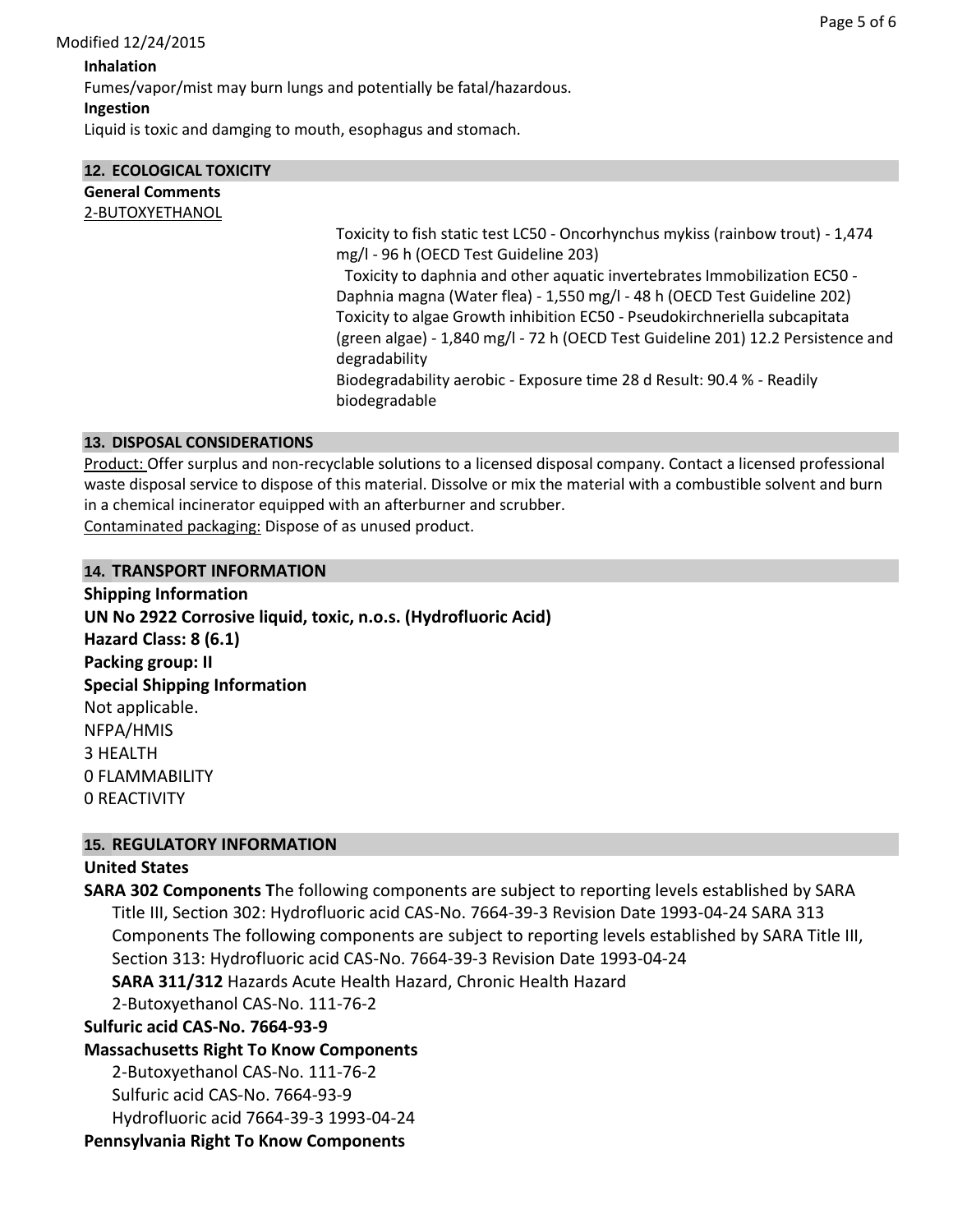# **Ingestion**

Liquid is toxic and damging to mouth, esophagus and stomach.

| <b>12. ECOLOGICAL TOXICITY</b> |                                                                                                                                                                                                                                                                                                                                                                                                                                                                      |
|--------------------------------|----------------------------------------------------------------------------------------------------------------------------------------------------------------------------------------------------------------------------------------------------------------------------------------------------------------------------------------------------------------------------------------------------------------------------------------------------------------------|
| <b>General Comments</b>        |                                                                                                                                                                                                                                                                                                                                                                                                                                                                      |
| 2-BUTOXYETHANOL                |                                                                                                                                                                                                                                                                                                                                                                                                                                                                      |
|                                | Toxicity to fish static test LC50 - Oncorhynchus mykiss (rainbow trout) - 1,474<br>mg/l - 96 h (OECD Test Guideline 203)<br>Toxicity to daphnia and other aquatic invertebrates Immobilization EC50 -<br>Daphnia magna (Water flea) - 1,550 mg/l - 48 h (OECD Test Guideline 202)<br>Toxicity to algae Growth inhibition EC50 - Pseudokirchneriella subcapitata<br>(green algae) - 1,840 mg/l - 72 h (OECD Test Guideline 201) 12.2 Persistence and<br>degradability |
|                                | Biodegradability aerobic - Exposure time 28 d Result: 90.4 % - Readily<br>biodegradable                                                                                                                                                                                                                                                                                                                                                                              |

## **13. DISPOSAL CONSIDERATIONS**

Product: Offer surplus and non-recyclable solutions to a licensed disposal company. Contact a licensed professional waste disposal service to dispose of this material. Dissolve or mix the material with a combustible solvent and burn in a chemical incinerator equipped with an afterburner and scrubber.

Contaminated packaging: Dispose of as unused product.

## **14. TRANSPORT INFORMATION**

**Shipping Information UN No 2922 Corrosive liquid, toxic, n.o.s. (Hydrofluoric Acid) Hazard Class: 8 (6.1) Packing group: II Special Shipping Information** Not applicable. NFPA/HMIS 3 HEALTH 0 FLAMMABILITY 0 REACTIVITY

# **15. REGULATORY INFORMATION**

# **United States**

**SARA 302 Components T**he following components are subject to reporting levels established by SARA Title III, Section 302: Hydrofluoric acid CAS-No. 7664-39-3 Revision Date 1993-04-24 SARA 313 Components The following components are subject to reporting levels established by SARA Title III, Section 313: Hydrofluoric acid CAS-No. 7664-39-3 Revision Date 1993-04-24 **SARA 311/312** Hazards Acute Health Hazard, Chronic Health Hazard 2-Butoxyethanol CAS-No. 111-76-2 **Sulfuric acid CAS-No. 7664-93-9 Massachusetts Right To Know Components** 2-Butoxyethanol CAS-No. 111-76-2 Sulfuric acid CAS-No. 7664-93-9 Hydrofluoric acid 7664-39-3 1993-04-24

**Pennsylvania Right To Know Components**